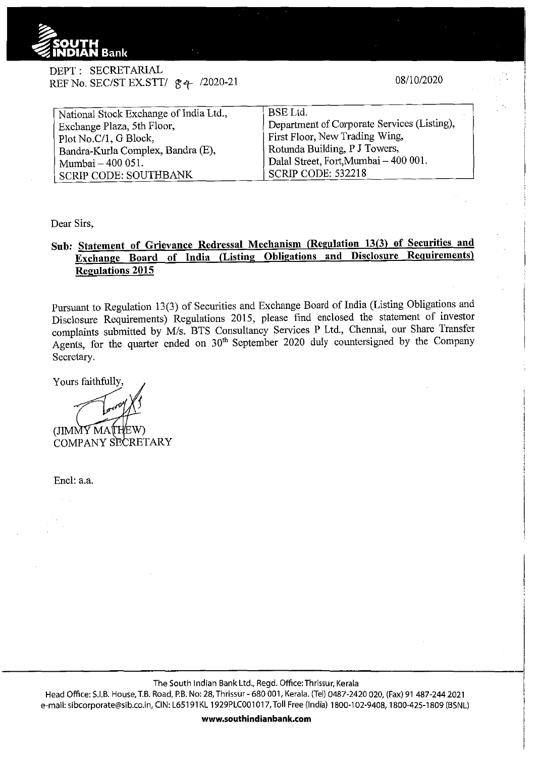

DEPT: SECRETARIAL REF No. SEC/ST EX.STT/  $g + 2020-21$ 

08/10/2020

| National Stock Exchange of India Ltd., | <b>BSE</b> Ltd.                             |  |  |  |  |
|----------------------------------------|---------------------------------------------|--|--|--|--|
| Exchange Plaza, 5th Floor,             | Department of Corporate Services (Listing), |  |  |  |  |
| Plot No.C/1, G Block,                  | First Floor, New Trading Wing,              |  |  |  |  |
| Bandra-Kurla Complex, Bandra (E),      | Rotunda Building, P J Towers,               |  |  |  |  |
| Mumbai - 400 051.                      | Dalal Street, Fort, Mumbai - 400 001.       |  |  |  |  |
| SCRIP CODE: SOUTHBANK                  | <b>SCRIP CODE: 532218</b>                   |  |  |  |  |
|                                        |                                             |  |  |  |  |

Dear Sirs,

## **Sub: Statement of Grievance Redressal Mechanism (Regulation 13(3) of Securities and Exchange Board of India (Listing Obligations and Disclosure Requirements) Regulations 2015**

Pursuant to Regulation 13(3) of Securities and Exchange Board of India (Listing Obligations and Disclosure Requirements) Regulations 2015, please find enclosed the statement of investor complaints submitted by M/s. BTS Consultancy Services P Ltd., Chennai, our Share Transfer Agents, for the quarter ended on  $30<sup>th</sup>$  September 2020 duly countersigned by the Company Secretary.

Yours faithfully

(JIMMY MATHEW)

COMPANY SECRETARY

Encl: a.a.